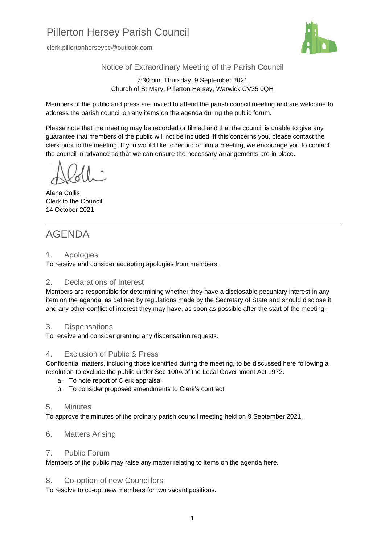# Pillerton Hersey Parish Council

clerk.pillertonherseypc@outlook.com



Notice of Extraordinary Meeting of the Parish Council

7:30 pm, Thursday. 9 September 2021 Church of St Mary, Pillerton Hersey, Warwick CV35 0QH

Members of the public and press are invited to attend the parish council meeting and are welcome to address the parish council on any items on the agenda during the public forum.

Please note that the meeting may be recorded or filmed and that the council is unable to give any guarantee that members of the public will not be included. If this concerns you, please contact the clerk prior to the meeting. If you would like to record or film a meeting, we encourage you to contact the council in advance so that we can ensure the necessary arrangements are in place.

Alana Collis Clerk to the Council 14 October 2021

# AGENDA

#### 1. Apologies

To receive and consider accepting apologies from members.

# 2. Declarations of Interest

Members are responsible for determining whether they have a disclosable pecuniary interest in any item on the agenda, as defined by regulations made by the Secretary of State and should disclose it and any other conflict of interest they may have, as soon as possible after the start of the meeting.

# 3. Dispensations

To receive and consider granting any dispensation requests.

# 4. Exclusion of Public & Press

Confidential matters, including those identified during the meeting, to be discussed here following a resolution to exclude the public under Sec 100A of the Local Government Act 1972.

- a. To note report of Clerk appraisal
- b. To consider proposed amendments to Clerk's contract

# 5. Minutes

To approve the minutes of the ordinary parish council meeting held on 9 September 2021.

# 6. Matters Arising

# 7. Public Forum

Members of the public may raise any matter relating to items on the agenda here.

# 8. Co-option of new Councillors

To resolve to co-opt new members for two vacant positions.